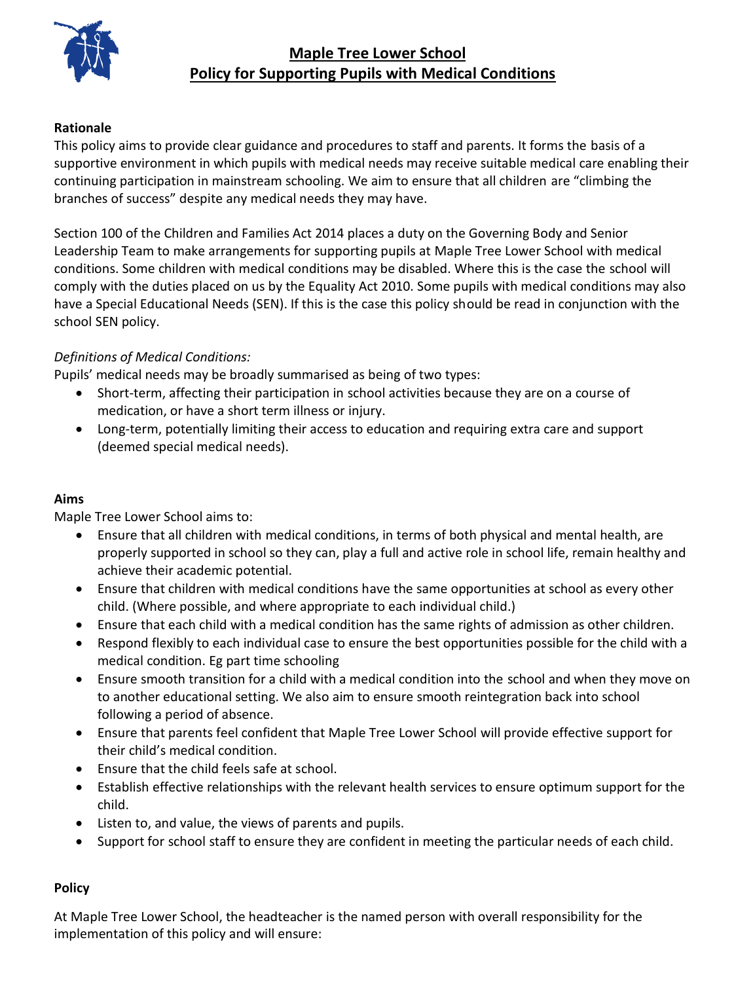

# **Maple Tree Lower School Policy for Supporting Pupils with Medical Conditions**

#### **Rationale**

This policy aims to provide clear guidance and procedures to staff and parents. It forms the basis of a supportive environment in which pupils with medical needs may receive suitable medical care enabling their continuing participation in mainstream schooling. We aim to ensure that all children are "climbing the branches of success" despite any medical needs they may have.

Section 100 of the Children and Families Act 2014 places a duty on the Governing Body and Senior Leadership Team to make arrangements for supporting pupils at Maple Tree Lower School with medical conditions. Some children with medical conditions may be disabled. Where this is the case the school will comply with the duties placed on us by the Equality Act 2010. Some pupils with medical conditions may also have a Special Educational Needs (SEN). If this is the case this policy should be read in conjunction with the school SEN policy.

#### *Definitions of Medical Conditions:*

Pupils' medical needs may be broadly summarised as being of two types:

- Short-term, affecting their participation in school activities because they are on a course of medication, or have a short term illness or injury.
- Long-term, potentially limiting their access to education and requiring extra care and support (deemed special medical needs).

#### **Aims**

Maple Tree Lower School aims to:

- Ensure that all children with medical conditions, in terms of both physical and mental health, are properly supported in school so they can, play a full and active role in school life, remain healthy and achieve their academic potential.
- Ensure that children with medical conditions have the same opportunities at school as every other child. (Where possible, and where appropriate to each individual child.)
- Ensure that each child with a medical condition has the same rights of admission as other children.
- Respond flexibly to each individual case to ensure the best opportunities possible for the child with a medical condition. Eg part time schooling
- Ensure smooth transition for a child with a medical condition into the school and when they move on to another educational setting. We also aim to ensure smooth reintegration back into school following a period of absence.
- Ensure that parents feel confident that Maple Tree Lower School will provide effective support for their child's medical condition.
- Ensure that the child feels safe at school.
- Establish effective relationships with the relevant health services to ensure optimum support for the child.
- Listen to, and value, the views of parents and pupils.
- Support for school staff to ensure they are confident in meeting the particular needs of each child.

#### **Policy**

At Maple Tree Lower School, the headteacher is the named person with overall responsibility for the implementation of this policy and will ensure: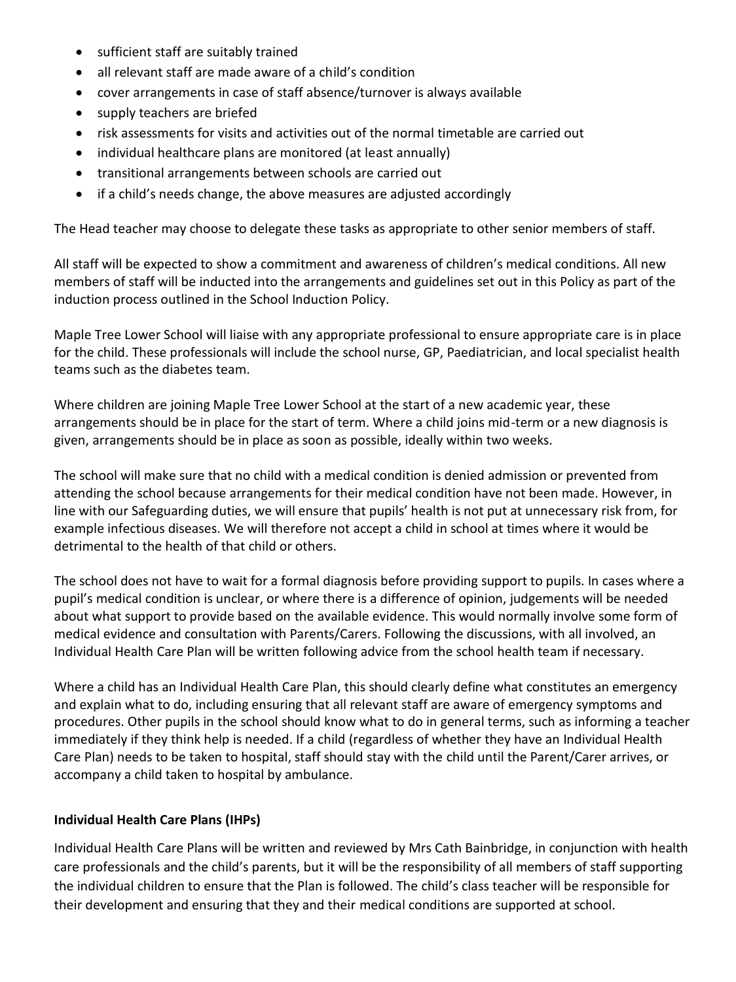- sufficient staff are suitably trained
- all relevant staff are made aware of a child's condition
- cover arrangements in case of staff absence/turnover is always available
- supply teachers are briefed
- risk assessments for visits and activities out of the normal timetable are carried out
- individual healthcare plans are monitored (at least annually)
- transitional arrangements between schools are carried out
- if a child's needs change, the above measures are adjusted accordingly

The Head teacher may choose to delegate these tasks as appropriate to other senior members of staff.

All staff will be expected to show a commitment and awareness of children's medical conditions. All new members of staff will be inducted into the arrangements and guidelines set out in this Policy as part of the induction process outlined in the School Induction Policy.

Maple Tree Lower School will liaise with any appropriate professional to ensure appropriate care is in place for the child. These professionals will include the school nurse, GP, Paediatrician, and local specialist health teams such as the diabetes team.

Where children are joining Maple Tree Lower School at the start of a new academic year, these arrangements should be in place for the start of term. Where a child joins mid-term or a new diagnosis is given, arrangements should be in place as soon as possible, ideally within two weeks.

The school will make sure that no child with a medical condition is denied admission or prevented from attending the school because arrangements for their medical condition have not been made. However, in line with our Safeguarding duties, we will ensure that pupils' health is not put at unnecessary risk from, for example infectious diseases. We will therefore not accept a child in school at times where it would be detrimental to the health of that child or others.

The school does not have to wait for a formal diagnosis before providing support to pupils. In cases where a pupil's medical condition is unclear, or where there is a difference of opinion, judgements will be needed about what support to provide based on the available evidence. This would normally involve some form of medical evidence and consultation with Parents/Carers. Following the discussions, with all involved, an Individual Health Care Plan will be written following advice from the school health team if necessary.

Where a child has an Individual Health Care Plan, this should clearly define what constitutes an emergency and explain what to do, including ensuring that all relevant staff are aware of emergency symptoms and procedures. Other pupils in the school should know what to do in general terms, such as informing a teacher immediately if they think help is needed. If a child (regardless of whether they have an Individual Health Care Plan) needs to be taken to hospital, staff should stay with the child until the Parent/Carer arrives, or accompany a child taken to hospital by ambulance.

#### **Individual Health Care Plans (IHPs)**

Individual Health Care Plans will be written and reviewed by Mrs Cath Bainbridge, in conjunction with health care professionals and the child's parents, but it will be the responsibility of all members of staff supporting the individual children to ensure that the Plan is followed. The child's class teacher will be responsible for their development and ensuring that they and their medical conditions are supported at school.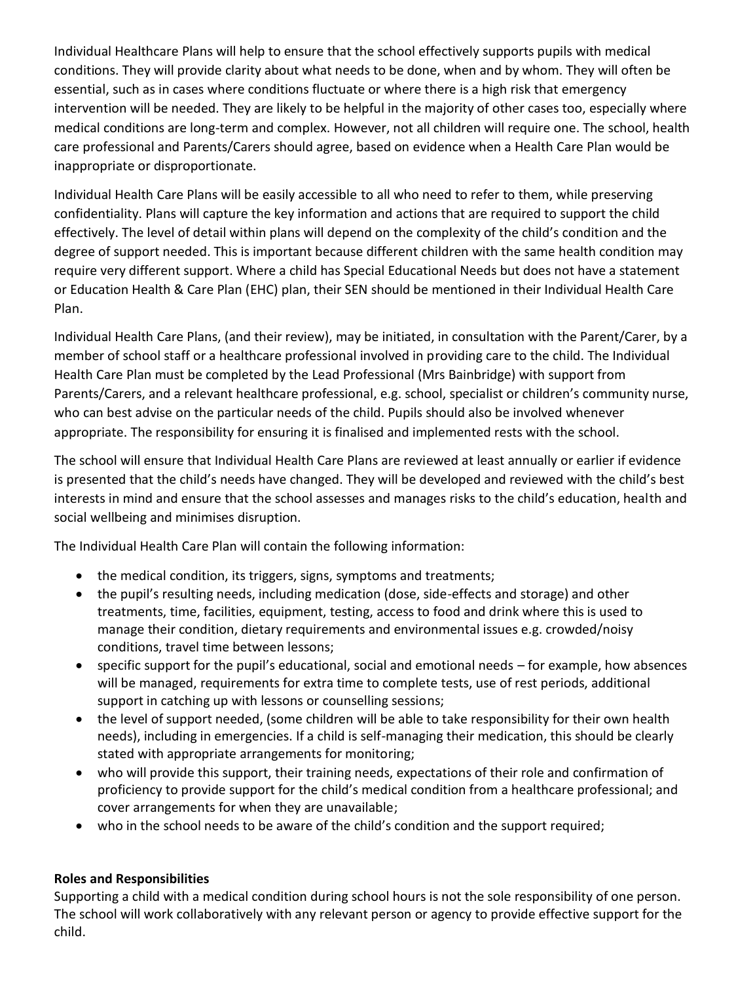Individual Healthcare Plans will help to ensure that the school effectively supports pupils with medical conditions. They will provide clarity about what needs to be done, when and by whom. They will often be essential, such as in cases where conditions fluctuate or where there is a high risk that emergency intervention will be needed. They are likely to be helpful in the majority of other cases too, especially where medical conditions are long-term and complex. However, not all children will require one. The school, health care professional and Parents/Carers should agree, based on evidence when a Health Care Plan would be inappropriate or disproportionate.

Individual Health Care Plans will be easily accessible to all who need to refer to them, while preserving confidentiality. Plans will capture the key information and actions that are required to support the child effectively. The level of detail within plans will depend on the complexity of the child's condition and the degree of support needed. This is important because different children with the same health condition may require very different support. Where a child has Special Educational Needs but does not have a statement or Education Health & Care Plan (EHC) plan, their SEN should be mentioned in their Individual Health Care Plan.

Individual Health Care Plans, (and their review), may be initiated, in consultation with the Parent/Carer, by a member of school staff or a healthcare professional involved in providing care to the child. The Individual Health Care Plan must be completed by the Lead Professional (Mrs Bainbridge) with support from Parents/Carers, and a relevant healthcare professional, e.g. school, specialist or children's community nurse, who can best advise on the particular needs of the child. Pupils should also be involved whenever appropriate. The responsibility for ensuring it is finalised and implemented rests with the school.

The school will ensure that Individual Health Care Plans are reviewed at least annually or earlier if evidence is presented that the child's needs have changed. They will be developed and reviewed with the child's best interests in mind and ensure that the school assesses and manages risks to the child's education, health and social wellbeing and minimises disruption.

The Individual Health Care Plan will contain the following information:

- the medical condition, its triggers, signs, symptoms and treatments;
- the pupil's resulting needs, including medication (dose, side-effects and storage) and other treatments, time, facilities, equipment, testing, access to food and drink where this is used to manage their condition, dietary requirements and environmental issues e.g. crowded/noisy conditions, travel time between lessons;
- specific support for the pupil's educational, social and emotional needs for example, how absences will be managed, requirements for extra time to complete tests, use of rest periods, additional support in catching up with lessons or counselling sessions;
- the level of support needed, (some children will be able to take responsibility for their own health needs), including in emergencies. If a child is self-managing their medication, this should be clearly stated with appropriate arrangements for monitoring;
- who will provide this support, their training needs, expectations of their role and confirmation of proficiency to provide support for the child's medical condition from a healthcare professional; and cover arrangements for when they are unavailable;
- who in the school needs to be aware of the child's condition and the support required;

## **Roles and Responsibilities**

Supporting a child with a medical condition during school hours is not the sole responsibility of one person. The school will work collaboratively with any relevant person or agency to provide effective support for the child.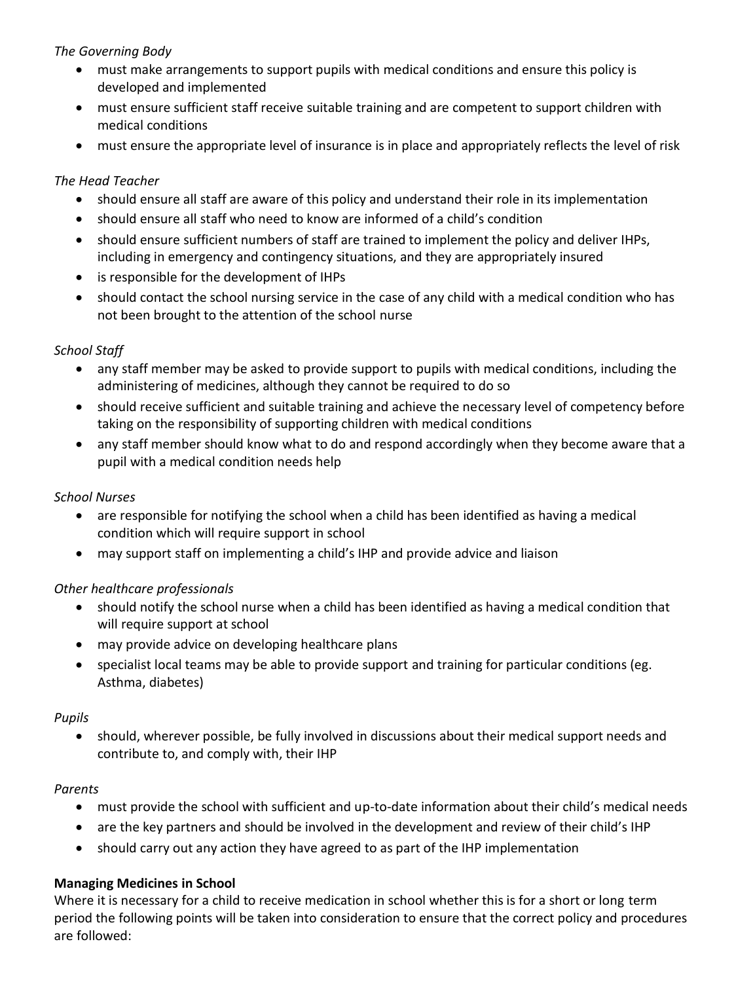### *The Governing Body*

- must make arrangements to support pupils with medical conditions and ensure this policy is developed and implemented
- must ensure sufficient staff receive suitable training and are competent to support children with medical conditions
- must ensure the appropriate level of insurance is in place and appropriately reflects the level of risk

### *The Head Teacher*

- should ensure all staff are aware of this policy and understand their role in its implementation
- should ensure all staff who need to know are informed of a child's condition
- should ensure sufficient numbers of staff are trained to implement the policy and deliver IHPs, including in emergency and contingency situations, and they are appropriately insured
- is responsible for the development of IHPs
- should contact the school nursing service in the case of any child with a medical condition who has not been brought to the attention of the school nurse

#### *School Staff*

- any staff member may be asked to provide support to pupils with medical conditions, including the administering of medicines, although they cannot be required to do so
- should receive sufficient and suitable training and achieve the necessary level of competency before taking on the responsibility of supporting children with medical conditions
- any staff member should know what to do and respond accordingly when they become aware that a pupil with a medical condition needs help

### *School Nurses*

- are responsible for notifying the school when a child has been identified as having a medical condition which will require support in school
- may support staff on implementing a child's IHP and provide advice and liaison

### *Other healthcare professionals*

- should notify the school nurse when a child has been identified as having a medical condition that will require support at school
- may provide advice on developing healthcare plans
- specialist local teams may be able to provide support and training for particular conditions (eg. Asthma, diabetes)

#### *Pupils*

 should, wherever possible, be fully involved in discussions about their medical support needs and contribute to, and comply with, their IHP

#### *Parents*

- must provide the school with sufficient and up-to-date information about their child's medical needs
- are the key partners and should be involved in the development and review of their child's IHP
- should carry out any action they have agreed to as part of the IHP implementation

#### **Managing Medicines in School**

Where it is necessary for a child to receive medication in school whether this is for a short or long term period the following points will be taken into consideration to ensure that the correct policy and procedures are followed: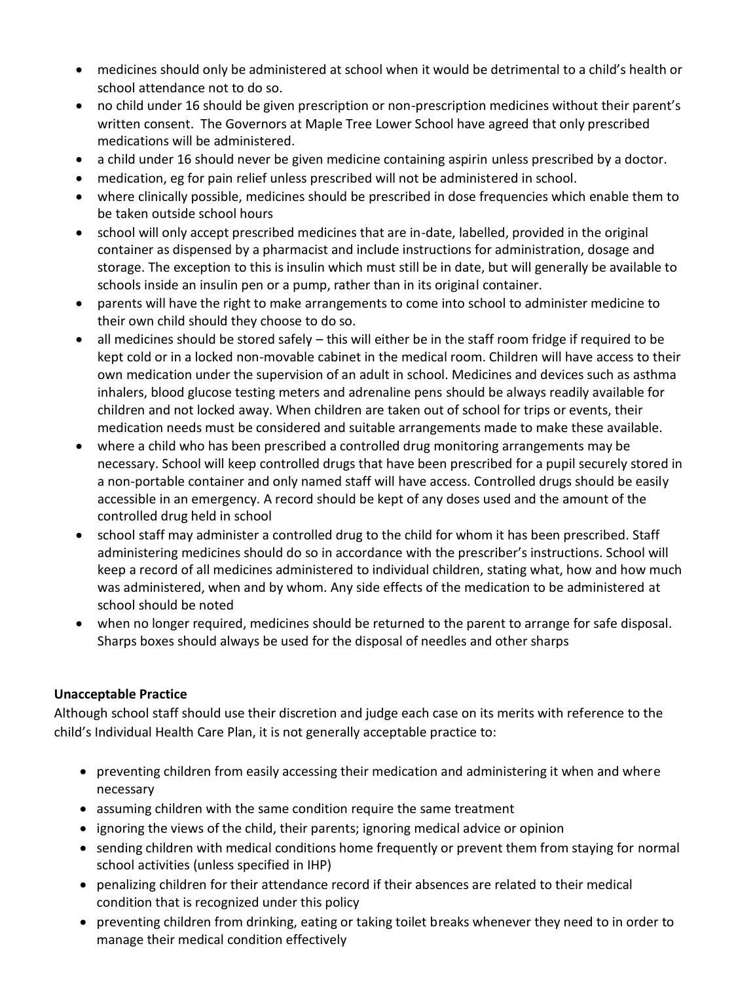- medicines should only be administered at school when it would be detrimental to a child's health or school attendance not to do so.
- no child under 16 should be given prescription or non-prescription medicines without their parent's written consent. The Governors at Maple Tree Lower School have agreed that only prescribed medications will be administered.
- a child under 16 should never be given medicine containing aspirin unless prescribed by a doctor.
- medication, eg for pain relief unless prescribed will not be administered in school.
- where clinically possible, medicines should be prescribed in dose frequencies which enable them to be taken outside school hours
- school will only accept prescribed medicines that are in-date, labelled, provided in the original container as dispensed by a pharmacist and include instructions for administration, dosage and storage. The exception to this is insulin which must still be in date, but will generally be available to schools inside an insulin pen or a pump, rather than in its original container.
- parents will have the right to make arrangements to come into school to administer medicine to their own child should they choose to do so.
- all medicines should be stored safely this will either be in the staff room fridge if required to be kept cold or in a locked non-movable cabinet in the medical room. Children will have access to their own medication under the supervision of an adult in school. Medicines and devices such as asthma inhalers, blood glucose testing meters and adrenaline pens should be always readily available for children and not locked away. When children are taken out of school for trips or events, their medication needs must be considered and suitable arrangements made to make these available.
- where a child who has been prescribed a controlled drug monitoring arrangements may be necessary. School will keep controlled drugs that have been prescribed for a pupil securely stored in a non-portable container and only named staff will have access. Controlled drugs should be easily accessible in an emergency. A record should be kept of any doses used and the amount of the controlled drug held in school
- school staff may administer a controlled drug to the child for whom it has been prescribed. Staff administering medicines should do so in accordance with the prescriber's instructions. School will keep a record of all medicines administered to individual children, stating what, how and how much was administered, when and by whom. Any side effects of the medication to be administered at school should be noted
- when no longer required, medicines should be returned to the parent to arrange for safe disposal. Sharps boxes should always be used for the disposal of needles and other sharps

### **Unacceptable Practice**

Although school staff should use their discretion and judge each case on its merits with reference to the child's Individual Health Care Plan, it is not generally acceptable practice to:

- preventing children from easily accessing their medication and administering it when and where necessary
- assuming children with the same condition require the same treatment
- ignoring the views of the child, their parents; ignoring medical advice or opinion
- sending children with medical conditions home frequently or prevent them from staying for normal school activities (unless specified in IHP)
- penalizing children for their attendance record if their absences are related to their medical condition that is recognized under this policy
- preventing children from drinking, eating or taking toilet breaks whenever they need to in order to manage their medical condition effectively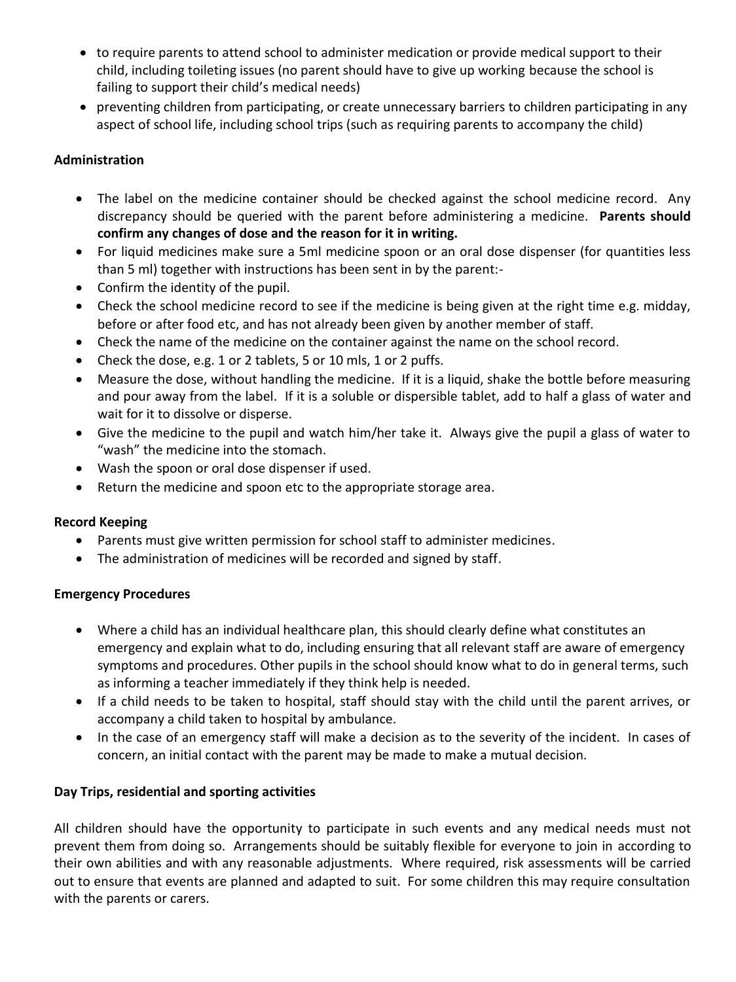- to require parents to attend school to administer medication or provide medical support to their child, including toileting issues (no parent should have to give up working because the school is failing to support their child's medical needs)
- preventing children from participating, or create unnecessary barriers to children participating in any aspect of school life, including school trips (such as requiring parents to accompany the child)

### **Administration**

- The label on the medicine container should be checked against the school medicine record. Any discrepancy should be queried with the parent before administering a medicine. **Parents should confirm any changes of dose and the reason for it in writing.**
- For liquid medicines make sure a 5ml medicine spoon or an oral dose dispenser (for quantities less than 5 ml) together with instructions has been sent in by the parent:-
- Confirm the identity of the pupil.
- Check the school medicine record to see if the medicine is being given at the right time e.g. midday, before or after food etc, and has not already been given by another member of staff.
- Check the name of the medicine on the container against the name on the school record.
- Check the dose, e.g. 1 or 2 tablets, 5 or 10 mls, 1 or 2 puffs.
- Measure the dose, without handling the medicine. If it is a liquid, shake the bottle before measuring and pour away from the label. If it is a soluble or dispersible tablet, add to half a glass of water and wait for it to dissolve or disperse.
- Give the medicine to the pupil and watch him/her take it. Always give the pupil a glass of water to "wash" the medicine into the stomach.
- Wash the spoon or oral dose dispenser if used.
- Return the medicine and spoon etc to the appropriate storage area.

### **Record Keeping**

- Parents must give written permission for school staff to administer medicines.
- The administration of medicines will be recorded and signed by staff.

### **Emergency Procedures**

- Where a child has an individual healthcare plan, this should clearly define what constitutes an emergency and explain what to do, including ensuring that all relevant staff are aware of emergency symptoms and procedures. Other pupils in the school should know what to do in general terms, such as informing a teacher immediately if they think help is needed.
- If a child needs to be taken to hospital, staff should stay with the child until the parent arrives, or accompany a child taken to hospital by ambulance.
- In the case of an emergency staff will make a decision as to the severity of the incident. In cases of concern, an initial contact with the parent may be made to make a mutual decision.

### **Day Trips, residential and sporting activities**

All children should have the opportunity to participate in such events and any medical needs must not prevent them from doing so. Arrangements should be suitably flexible for everyone to join in according to their own abilities and with any reasonable adjustments. Where required, risk assessments will be carried out to ensure that events are planned and adapted to suit. For some children this may require consultation with the parents or carers.